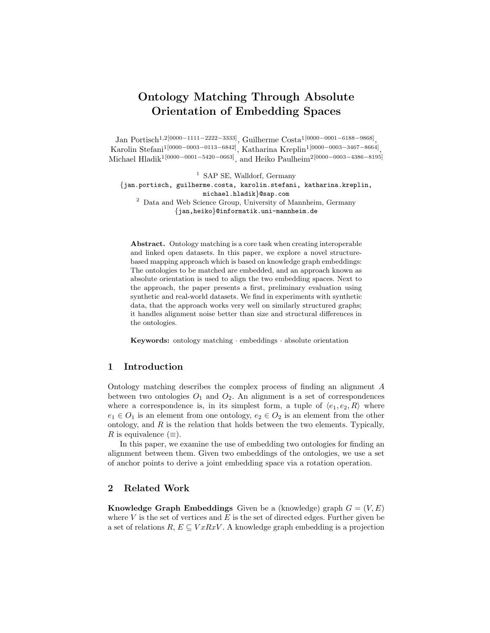# Ontology Matching Through Absolute Orientation of Embedding Spaces

Jan Portisch<sup>1,2[0000–1111–2222–3333]</sup>, Guilherme Costa<sup>1[0000–0001–6188–9868]</sup>, Karolin Stefani1[0000−0003−0113−6842], Katharina Kreplin1[0000−0003−3467−8664] , Michael Hladik<sup>1[0000–0001–5420–0663]</sup>, and Heiko Paulheim<sup>2[0000–0003–4386–8195]</sup>

<sup>1</sup> SAP SE, Walldorf, Germany {jan.portisch, guilherme.costa, karolin.stefani, katharina.kreplin, michael.hladik}@sap.com <sup>2</sup> Data and Web Science Group, University of Mannheim, Germany {jan,heiko}@informatik.uni-mannheim.de

Abstract. Ontology matching is a core task when creating interoperable and linked open datasets. In this paper, we explore a novel structurebased mapping approach which is based on knowledge graph embeddings: The ontologies to be matched are embedded, and an approach known as absolute orientation is used to align the two embedding spaces. Next to the approach, the paper presents a first, preliminary evaluation using synthetic and real-world datasets. We find in experiments with synthetic data, that the approach works very well on similarly structured graphs; it handles alignment noise better than size and structural differences in the ontologies.

Keywords: ontology matching · embeddings · absolute orientation

# 1 Introduction

Ontology matching describes the complex process of finding an alignment A between two ontologies  $O_1$  and  $O_2$ . An alignment is a set of correspondences where a correspondence is, in its simplest form, a tuple of  $\langle e_1, e_2, R \rangle$  where  $e_1 \in O_1$  is an element from one ontology,  $e_2 \in O_2$  is an element from the other ontology, and  $R$  is the relation that holds between the two elements. Typically, R is equivalence  $(\equiv)$ .

In this paper, we examine the use of embedding two ontologies for finding an alignment between them. Given two embeddings of the ontologies, we use a set of anchor points to derive a joint embedding space via a rotation operation.

# 2 Related Work

**Knowledge Graph Embeddings** Given be a (knowledge) graph  $G = (V, E)$ where  $V$  is the set of vertices and  $E$  is the set of directed edges. Further given be a set of relations  $R, E \subseteq V x R x V$ . A knowledge graph embedding is a projection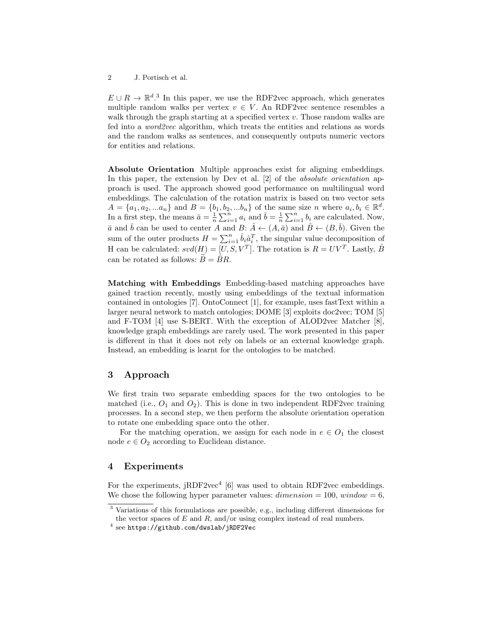2 J. Portisch et al.

 $E \cup R \to \mathbb{R}^{d}$ .<sup>[3](#page-1-0)</sup> In this paper, we use the RDF2vec approach, which generates multiple random walks per vertex  $v \in V$ . An RDF2vec sentence resembles a walk through the graph starting at a specified vertex  $v$ . Those random walks are fed into a *word2vec* algorithm, which treats the entities and relations as words and the random walks as sentences, and consequently outputs numeric vectors for entities and relations.

Absolute Orientation Multiple approaches exist for aligning embeddings. In this paper, the extension by Dev et al. [\[2\]](#page-4-0) of the *absolute orientation* approach is used. The approach showed good performance on multilingual word embeddings. The calculation of the rotation matrix is based on two vector sets  $A = \{a_1, a_2, ... a_n\}$  and  $B = \{b_1, b_2, ... b_n\}$  of the same size n where  $a_i, b_i \in \mathbb{R}^d$ . In a first step, the means  $\bar{a} = \frac{1}{n} \sum_{i=1}^{n} a_i$  and  $\bar{b} = \frac{1}{n} \sum_{i=1}^{n} b_i$  are calculated. Now,  $\bar{a}$  and  $\bar{b}$  can be used to center A and B:  $\hat{A} \leftarrow (A, \bar{a})$  and  $\hat{B} \leftarrow (B, \bar{b})$ . Given the sum of the outer products  $H = \sum_{i=1}^{n} \hat{b}_i \hat{a}_i^T$ , the singular value decomposition of H can be calculated:  $svd(H) = [U, S, V^T]$ . The rotation is  $R = UV^T$ . Lastly,  $\hat{B}$ can be rotated as follows:  $\overline{B} = \hat{B}R$ .

Matching with Embeddings Embedding-based matching approaches have gained traction recently, mostly using embeddings of the textual information contained in ontologies [\[7\]](#page-4-1). OntoConnect [\[1\]](#page-4-2), for example, uses fastText within a larger neural network to match ontologies; DOME [\[3\]](#page-4-3) exploits doc2vec; TOM [\[5\]](#page-4-4) and F-TOM [\[4\]](#page-4-5) use S-BERT. With the exception of ALOD2vec Matcher [\[8\]](#page-4-6), knowledge graph embeddings are rarely used. The work presented in this paper is different in that it does not rely on labels or an external knowledge graph. Instead, an embedding is learnt for the ontologies to be matched.

## 3 Approach

We first train two separate embedding spaces for the two ontologies to be matched (i.e.,  $O_1$  and  $O_2$ ). This is done in two independent RDF2vec training processes. In a second step, we then perform the absolute orientation operation to rotate one embedding space onto the other.

For the matching operation, we assign for each node in  $e \in O_1$  the closest node  $e \in O_2$  according to Euclidean distance.

#### 4 Experiments

For the experiments,  $jRDF2vec^4$  $jRDF2vec^4$  [\[6\]](#page-4-7) was used to obtain RDF2vec embeddings. We chose the following hyper parameter values:  $dimension = 100$ ,  $window = 6$ ,

<span id="page-1-0"></span><sup>3</sup> Variations of this formulations are possible, e.g., including different dimensions for the vector spaces of  $E$  and  $R$ , and/or using complex instead of real numbers.

<span id="page-1-1"></span> $^4$  see <https://github.com/dwslab/jRDF2Vec>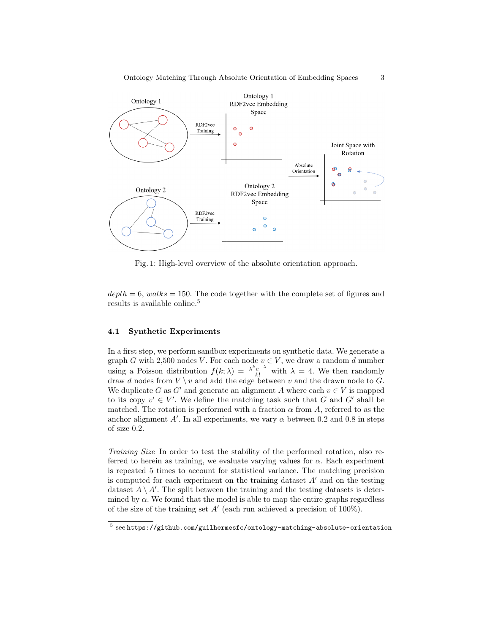

Fig. 1: High-level overview of the absolute orientation approach.

 $depth = 6$ , walks = 150. The code together with the complete set of figures and results is available online.<sup>[5](#page-2-0)</sup>

#### 4.1 Synthetic Experiments

In a first step, we perform sandbox experiments on synthetic data. We generate a graph G with 2,500 nodes V. For each node  $v \in V$ , we draw a random d number using a Poisson distribution  $f(k; \lambda) = \frac{\lambda^k e^{-\lambda}}{k!}$  with  $\lambda = 4$ . We then randomly draw d nodes from  $V \setminus v$  and add the edge between v and the drawn node to G. We duplicate G as G' and generate an alignment A where each  $v \in V$  is mapped to its copy  $v' \in V'$ . We define the matching task such that G and G' shall be matched. The rotation is performed with a fraction  $\alpha$  from A, referred to as the anchor alignment  $A'$ . In all experiments, we vary  $\alpha$  between 0.2 and 0.8 in steps of size 0.2.

Training Size In order to test the stability of the performed rotation, also referred to herein as training, we evaluate varying values for  $\alpha$ . Each experiment is repeated 5 times to account for statistical variance. The matching precision is computed for each experiment on the training dataset  $A'$  and on the testing dataset  $A \setminus A'$ . The split between the training and the testing datasets is determined by  $\alpha$ . We found that the model is able to map the entire graphs regardless of the size of the training set  $A'$  (each run achieved a precision of 100%).

<span id="page-2-0"></span> $^5$  see <https://github.com/guilhermesfc/ontology-matching-absolute-orientation>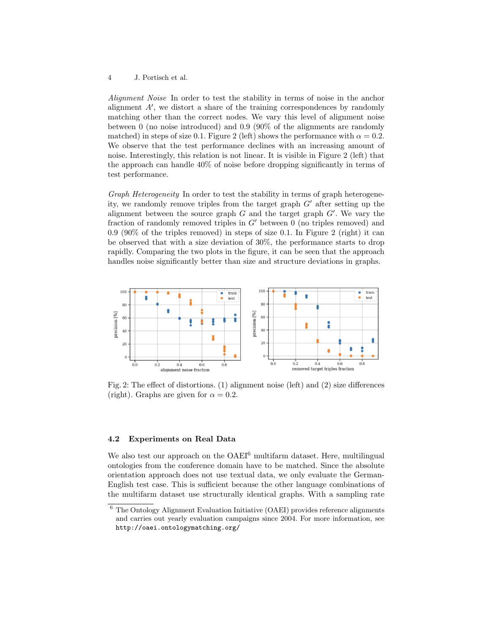4 J. Portisch et al.

Alignment Noise In order to test the stability in terms of noise in the anchor alignment A′ , we distort a share of the training correspondences by randomly matching other than the correct nodes. We vary this level of alignment noise between 0 (no noise introduced) and 0.9 (90% of the alignments are randomly matched) in steps of size 0.1. Figure [2](#page-3-0) (left) shows the performance with  $\alpha = 0.2$ . We observe that the test performance declines with an increasing amount of noise. Interestingly, this relation is not linear. It is visible in Figure [2](#page-3-0) (left) that the approach can handle 40% of noise before dropping significantly in terms of test performance.

Graph Heterogeneity In order to test the stability in terms of graph heterogeneity, we randomly remove triples from the target graph G′ after setting up the alignment between the source graph  $G$  and the target graph  $G'$ . We vary the fraction of randomly removed triples in  $G'$  between 0 (no triples removed) and 0.9 (90% of the triples removed) in steps of size 0.1. In Figure [2](#page-3-0) (right) it can be observed that with a size deviation of 30%, the performance starts to drop rapidly. Comparing the two plots in the figure, it can be seen that the approach handles noise significantly better than size and structure deviations in graphs.

<span id="page-3-0"></span>

Fig. 2: The effect of distortions. (1) alignment noise (left) and (2) size differences (right). Graphs are given for  $\alpha = 0.2$ .

#### 4.2 Experiments on Real Data

We also test our approach on the OAEI<sup>[6](#page-3-1)</sup> multifarm dataset. Here, multilingual ontologies from the conference domain have to be matched. Since the absolute orientation approach does not use textual data, we only evaluate the German-English test case. This is sufficient because the other language combinations of the multifarm dataset use structurally identical graphs. With a sampling rate

<span id="page-3-1"></span><sup>6</sup> The Ontology Alignment Evaluation Initiative (OAEI) provides reference alignments and carries out yearly evaluation campaigns since 2004. For more information, see <http://oaei.ontologymatching.org/>